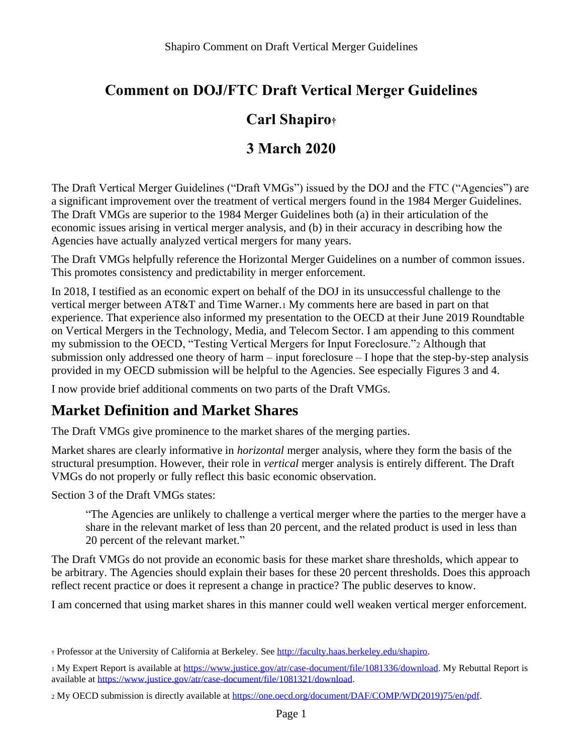# **Comment on DOJ/FTC Draft Vertical Merger Guidelines**

### **Carl Shapiro†**

### **3 March 2020**

The Draft Vertical Merger Guidelines ("Draft VMGs") issued by the DOJ and the FTC ("Agencies") are a significant improvement over the treatment of vertical mergers found in the 1984 Merger Guidelines. The Draft VMGs are superior to the 1984 Merger Guidelines both (a) in their articulation of the economic issues arising in vertical merger analysis, and (b) in their accuracy in describing how the Agencies have actually analyzed vertical mergers for many years.

The Draft VMGs helpfully reference the Horizontal Merger Guidelines on a number of common issues. This promotes consistency and predictability in merger enforcement.

In 2018, I testified as an economic expert on behalf of the DOJ in its unsuccessful challenge to the vertical merger between AT&T and Time Warner.<sup>1</sup> My comments here are based in part on that experience. That experience also informed my presentation to the OECD at their June 2019 Roundtable on Vertical Mergers in the Technology, Media, and Telecom Sector. I am appending to this comment my submission to the OECD, "Testing Vertical Mergers for Input Foreclosure."<sup>2</sup> Although that submission only addressed one theory of harm – input foreclosure – I hope that the step-by-step analysis provided in my OECD submission will be helpful to the Agencies. See especially Figures 3 and 4.

I now provide brief additional comments on two parts of the Draft VMGs.

### **Market Definition and Market Shares**

The Draft VMGs give prominence to the market shares of the merging parties.

Market shares are clearly informative in *horizontal* merger analysis, where they form the basis of the structural presumption. However, their role in *vertical* merger analysis is entirely different. The Draft VMGs do not properly or fully reflect this basic economic observation.

Section 3 of the Draft VMGs states:

"The Agencies are unlikely to challenge a vertical merger where the parties to the merger have a share in the relevant market of less than 20 percent, and the related product is used in less than 20 percent of the relevant market."

The Draft VMGs do not provide an economic basis for these market share thresholds, which appear to be arbitrary. The Agencies should explain their bases for these 20 percent thresholds. Does this approach reflect recent practice or does it represent a change in practice? The public deserves to know.

I am concerned that using market shares in this manner could well weaken vertical merger enforcement.

<sup>†</sup> Professor at the University of California at Berkeley. See [http://faculty.haas.berkeley.edu/shapiro.](http://faculty.haas.berkeley.edu/shapiro)

<sup>1</sup> My Expert Report is available a[t https://www.justice.gov/atr/case-document/file/1081336/download.](https://www.justice.gov/atr/case-document/file/1081336/download) My Rebuttal Report is available a[t https://www.justice.gov/atr/case-document/file/1081321/download.](https://www.justice.gov/atr/case-document/file/1081321/download)

<sup>2</sup> My OECD submission is directly available at [https://one.oecd.org/document/DAF/COMP/WD\(2019\)75/en/pdf.](https://one.oecd.org/document/DAF/COMP/WD(2019)75/en/pdf)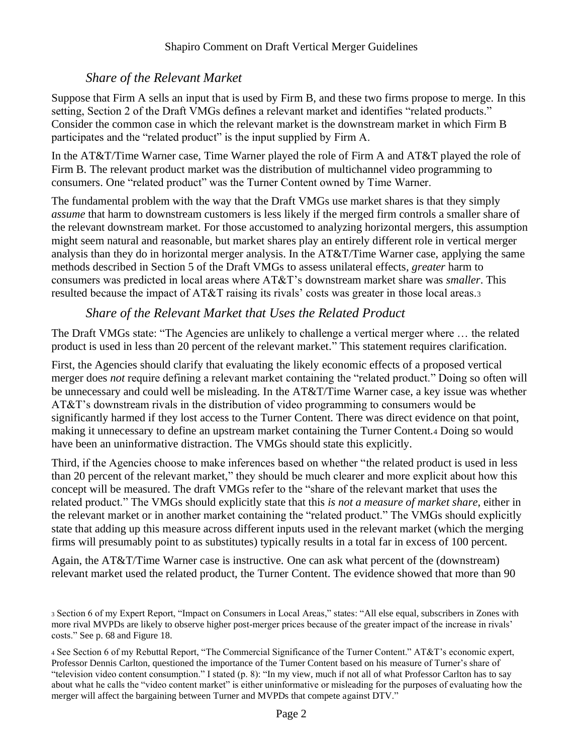### *Share of the Relevant Market*

Suppose that Firm A sells an input that is used by Firm B, and these two firms propose to merge. In this setting, Section 2 of the Draft VMGs defines a relevant market and identifies "related products." Consider the common case in which the relevant market is the downstream market in which Firm B participates and the "related product" is the input supplied by Firm A.

In the AT&T/Time Warner case, Time Warner played the role of Firm A and AT&T played the role of Firm B. The relevant product market was the distribution of multichannel video programming to consumers. One "related product" was the Turner Content owned by Time Warner.

The fundamental problem with the way that the Draft VMGs use market shares is that they simply *assume* that harm to downstream customers is less likely if the merged firm controls a smaller share of the relevant downstream market. For those accustomed to analyzing horizontal mergers, this assumption might seem natural and reasonable, but market shares play an entirely different role in vertical merger analysis than they do in horizontal merger analysis. In the AT&T/Time Warner case, applying the same methods described in Section 5 of the Draft VMGs to assess unilateral effects, *greater* harm to consumers was predicted in local areas where AT&T's downstream market share was *smaller*. This resulted because the impact of AT&T raising its rivals' costs was greater in those local areas.<sup>3</sup>

### *Share of the Relevant Market that Uses the Related Product*

The Draft VMGs state: "The Agencies are unlikely to challenge a vertical merger where … the related product is used in less than 20 percent of the relevant market." This statement requires clarification.

First, the Agencies should clarify that evaluating the likely economic effects of a proposed vertical merger does *not* require defining a relevant market containing the "related product." Doing so often will be unnecessary and could well be misleading. In the AT&T/Time Warner case, a key issue was whether AT&T's downstream rivals in the distribution of video programming to consumers would be significantly harmed if they lost access to the Turner Content. There was direct evidence on that point, making it unnecessary to define an upstream market containing the Turner Content.<sup>4</sup> Doing so would have been an uninformative distraction. The VMGs should state this explicitly.

Third, if the Agencies choose to make inferences based on whether "the related product is used in less than 20 percent of the relevant market," they should be much clearer and more explicit about how this concept will be measured. The draft VMGs refer to the "share of the relevant market that uses the related product." The VMGs should explicitly state that this *is not a measure of market share*, either in the relevant market or in another market containing the "related product." The VMGs should explicitly state that adding up this measure across different inputs used in the relevant market (which the merging firms will presumably point to as substitutes) typically results in a total far in excess of 100 percent.

Again, the AT&T/Time Warner case is instructive. One can ask what percent of the (downstream) relevant market used the related product, the Turner Content. The evidence showed that more than 90

<sup>3</sup> Section 6 of my Expert Report, "Impact on Consumers in Local Areas," states: "All else equal, subscribers in Zones with more rival MVPDs are likely to observe higher post-merger prices because of the greater impact of the increase in rivals' costs." See p. 68 and Figure 18.

<sup>4</sup> See Section 6 of my Rebuttal Report, "The Commercial Significance of the Turner Content." AT&T's economic expert, Professor Dennis Carlton, questioned the importance of the Turner Content based on his measure of Turner's share of "television video content consumption." I stated (p. 8): "In my view, much if not all of what Professor Carlton has to say about what he calls the "video content market" is either uninformative or misleading for the purposes of evaluating how the merger will affect the bargaining between Turner and MVPDs that compete against DTV."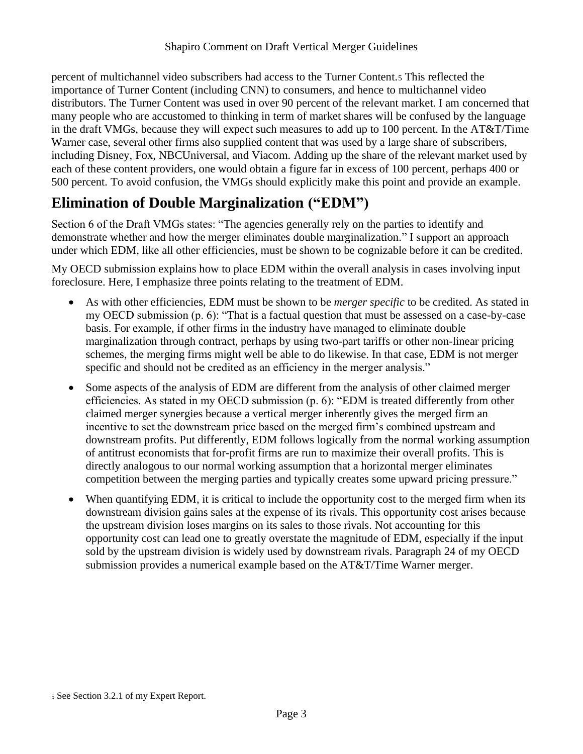percent of multichannel video subscribers had access to the Turner Content.<sup>5</sup> This reflected the importance of Turner Content (including CNN) to consumers, and hence to multichannel video distributors. The Turner Content was used in over 90 percent of the relevant market. I am concerned that many people who are accustomed to thinking in term of market shares will be confused by the language in the draft VMGs, because they will expect such measures to add up to 100 percent. In the AT&T/Time Warner case, several other firms also supplied content that was used by a large share of subscribers, including Disney, Fox, NBCUniversal, and Viacom. Adding up the share of the relevant market used by each of these content providers, one would obtain a figure far in excess of 100 percent, perhaps 400 or 500 percent. To avoid confusion, the VMGs should explicitly make this point and provide an example.

## **Elimination of Double Marginalization ("EDM")**

Section 6 of the Draft VMGs states: "The agencies generally rely on the parties to identify and demonstrate whether and how the merger eliminates double marginalization." I support an approach under which EDM, like all other efficiencies, must be shown to be cognizable before it can be credited.

My OECD submission explains how to place EDM within the overall analysis in cases involving input foreclosure. Here, I emphasize three points relating to the treatment of EDM.

- As with other efficiencies, EDM must be shown to be *merger specific* to be credited. As stated in my OECD submission (p. 6): "That is a factual question that must be assessed on a case-by-case basis. For example, if other firms in the industry have managed to eliminate double marginalization through contract, perhaps by using two-part tariffs or other non-linear pricing schemes, the merging firms might well be able to do likewise. In that case, EDM is not merger specific and should not be credited as an efficiency in the merger analysis."
- Some aspects of the analysis of EDM are different from the analysis of other claimed merger efficiencies. As stated in my OECD submission (p. 6): "EDM is treated differently from other claimed merger synergies because a vertical merger inherently gives the merged firm an incentive to set the downstream price based on the merged firm's combined upstream and downstream profits. Put differently, EDM follows logically from the normal working assumption of antitrust economists that for-profit firms are run to maximize their overall profits. This is directly analogous to our normal working assumption that a horizontal merger eliminates competition between the merging parties and typically creates some upward pricing pressure."
- When quantifying EDM, it is critical to include the opportunity cost to the merged firm when its downstream division gains sales at the expense of its rivals. This opportunity cost arises because the upstream division loses margins on its sales to those rivals. Not accounting for this opportunity cost can lead one to greatly overstate the magnitude of EDM, especially if the input sold by the upstream division is widely used by downstream rivals. Paragraph 24 of my OECD submission provides a numerical example based on the AT&T/Time Warner merger.

<sup>5</sup> See Section 3.2.1 of my Expert Report.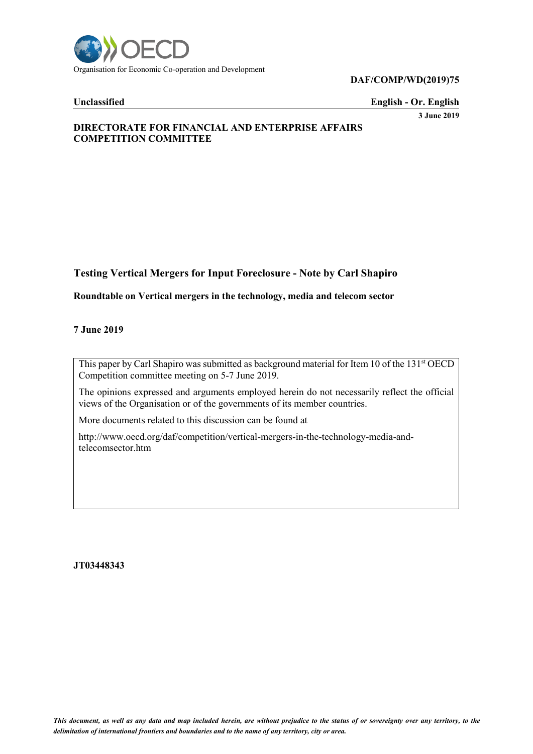

**DAF/COMP/WD(2019)75**

**Unclassified English - Or. English**

**3 June 2019**

### **DIRECTORATE FOR FINANCIAL AND ENTERPRISE AFFAIRS COMPETITION COMMITTEE**

### **Testing Vertical Mergers for Input Foreclosure - Note by Carl Shapiro**

### **Roundtable on Vertical mergers in the technology, media and telecom sector**

#### **7 June 2019**

This paper by Carl Shapiro was submitted as background material for Item 10 of the 131<sup>st</sup> OECD Competition committee meeting on 5-7 June 2019.

The opinions expressed and arguments employed herein do not necessarily reflect the official views of the Organisation or of the governments of its member countries.

More documents related to this discussion can be found at

http://www.oecd.org/daf/competition/vertical-mergers-in-the-technology-media-andtelecomsector.htm

#### **JT03448343**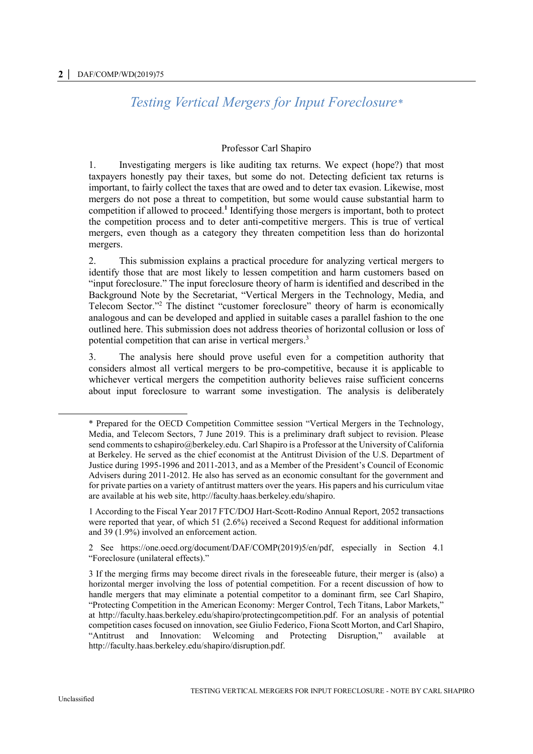### *Testing Vertical Mergers for Input Foreclosure\**

#### Professor Carl Shapiro

1. Investigating mergers is like auditing tax returns. We expect (hope?) that most taxpayers honestly pay their taxes, but some do not. Detecting deficient tax returns is important, to fairly collect the taxes that are owed and to deter tax evasion. Likewise, most mergers do not pose a threat to competition, but some would cause substantial harm to competition if allowed to proceed.**<sup>1</sup>** Identifying those mergers is important, both to protect the competition process and to deter anti-competitive mergers. This is true of vertical mergers, even though as a category they threaten competition less than do horizontal mergers.

2. This submission explains a practical procedure for analyzing vertical mergers to identify those that are most likely to lessen competition and harm customers based on "input foreclosure." The input foreclosure theory of harm is identified and described in the Background Note by the Secretariat, "Vertical Mergers in the Technology, Media, and Telecom Sector."<sup>2</sup> The distinct "customer foreclosure" theory of harm is economically analogous and can be developed and applied in suitable cases a parallel fashion to the one outlined here. This submission does not address theories of horizontal collusion or loss of potential competition that can arise in vertical mergers.<sup>3</sup>

3. The analysis here should prove useful even for a competition authority that considers almost all vertical mergers to be pro-competitive, because it is applicable to whichever vertical mergers the competition authority believes raise sufficient concerns about input foreclosure to warrant some investigation. The analysis is deliberately

 $\overline{a}$ 

<sup>\*</sup> Prepared for the OECD Competition Committee session "Vertical Mergers in the Technology, Media, and Telecom Sectors, 7 June 2019. This is a preliminary draft subject to revision. Please send comments t[o cshapiro@berkeley.edu.](mailto:cshapiro@berkeley.edu) Carl Shapiro is a Professor at the University of California at Berkeley. He served as the chief economist at the Antitrust Division of the U.S. Department of Justice during 1995-1996 and 2011-2013, and as a Member of the President's Council of Economic Advisers during 2011-2012. He also has served as an economic consultant for the government and for private parties on a variety of antitrust matters over the years. His papers and his curriculum vitae are available at his web site, http://faculty.haas.berkeley.edu/shapiro.

<sup>1</sup> According to the Fiscal Year 2017 FTC/DOJ Hart-Scott-Rodino Annual Report, 2052 transactions were reported that year, of which 51 (2.6%) received a Second Request for additional information and 39 (1.9%) involved an enforcement action.

<sup>2</sup> See https://one.oecd.org/document/DAF/COMP(2019)5/en/pdf, especially in Section 4.1 "Foreclosure (unilateral effects)."

<sup>3</sup> If the merging firms may become direct rivals in the foreseeable future, their merger is (also) a horizontal merger involving the loss of potential competition. For a recent discussion of how to handle mergers that may eliminate a potential competitor to a dominant firm, see Carl Shapiro, "Protecting Competition in the American Economy: Merger Control, Tech Titans, Labor Markets," at [http://faculty.haas.berkeley.edu/shapiro/protectingcompetition.pdf.](http://faculty.haas.berkeley.edu/shapiro/protectingcompetition.pdf) For an analysis of potential competition cases focused on innovation, see Giulio Federico, Fiona Scott Morton, and Carl Shapiro, "Antitrust and Innovation: Welcoming and Protecting Disruption," available at [http://faculty.haas.berkeley.edu/shapiro/disruption.pdf.](http://faculty.haas.berkeley.edu/shapiro/disruption.pdf)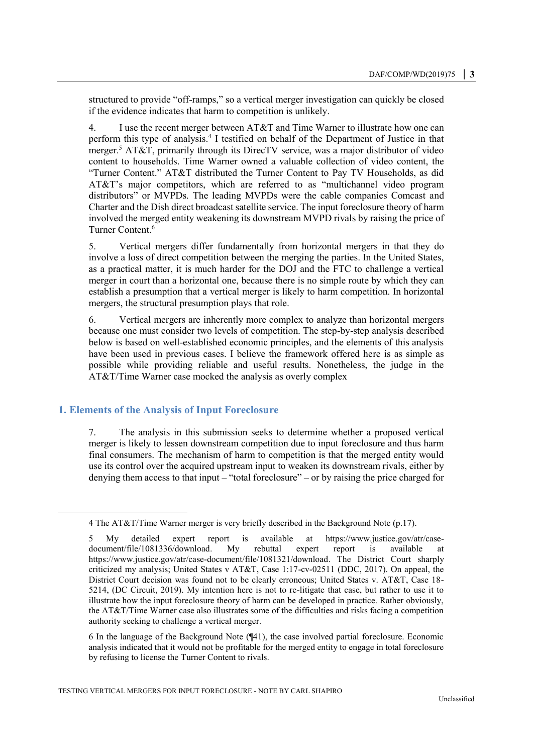structured to provide "off-ramps," so a vertical merger investigation can quickly be closed if the evidence indicates that harm to competition is unlikely.

4. I use the recent merger between AT&T and Time Warner to illustrate how one can perform this type of analysis.<sup>4</sup> I testified on behalf of the Department of Justice in that merger.<sup>5</sup> AT&T, primarily through its DirecTV service, was a major distributor of video content to households. Time Warner owned a valuable collection of video content, the "Turner Content." AT&T distributed the Turner Content to Pay TV Households, as did AT&T's major competitors, which are referred to as "multichannel video program distributors" or MVPDs. The leading MVPDs were the cable companies Comcast and Charter and the Dish direct broadcast satellite service. The input foreclosure theory of harm involved the merged entity weakening its downstream MVPD rivals by raising the price of Turner Content.<sup>6</sup>

5. Vertical mergers differ fundamentally from horizontal mergers in that they do involve a loss of direct competition between the merging the parties. In the United States, as a practical matter, it is much harder for the DOJ and the FTC to challenge a vertical merger in court than a horizontal one, because there is no simple route by which they can establish a presumption that a vertical merger is likely to harm competition. In horizontal mergers, the structural presumption plays that role.

6. Vertical mergers are inherently more complex to analyze than horizontal mergers because one must consider two levels of competition. The step-by-step analysis described below is based on well-established economic principles, and the elements of this analysis have been used in previous cases. I believe the framework offered here is as simple as possible while providing reliable and useful results. Nonetheless, the judge in the AT&T/Time Warner case mocked the analysis as overly complex

#### **1. Elements of the Analysis of Input Foreclosure**

 $\overline{a}$ 

7. The analysis in this submission seeks to determine whether a proposed vertical merger is likely to lessen downstream competition due to input foreclosure and thus harm final consumers. The mechanism of harm to competition is that the merged entity would use its control over the acquired upstream input to weaken its downstream rivals, either by denying them access to that input – "total foreclosure" – or by raising the price charged for

6 In the language of the Background Note (¶41), the case involved partial foreclosure. Economic analysis indicated that it would not be profitable for the merged entity to engage in total foreclosure by refusing to license the Turner Content to rivals.

<sup>4</sup> The AT&T/Time Warner merger is very briefly described in the Background Note (p.17).

<sup>5</sup> My detailed expert report is available at [https://www.justice.gov/atr/case](https://www.justice.gov/atr/case-document/file/1081336/download)[document/file/1081336/download.](https://www.justice.gov/atr/case-document/file/1081336/download) My rebuttal expert report is available at [https://www.justice.gov/atr/case-document/file/1081321/download.](https://www.justice.gov/atr/case-document/file/1081321/download) The District Court sharply criticized my analysis; United States v AT&T, Case 1:17-cv-02511 (DDC, 2017). On appeal, the District Court decision was found not to be clearly erroneous; United States v. AT&T, Case 18- 5214, (DC Circuit, 2019). My intention here is not to re-litigate that case, but rather to use it to illustrate how the input foreclosure theory of harm can be developed in practice. Rather obviously, the AT&T/Time Warner case also illustrates some of the difficulties and risks facing a competition authority seeking to challenge a vertical merger.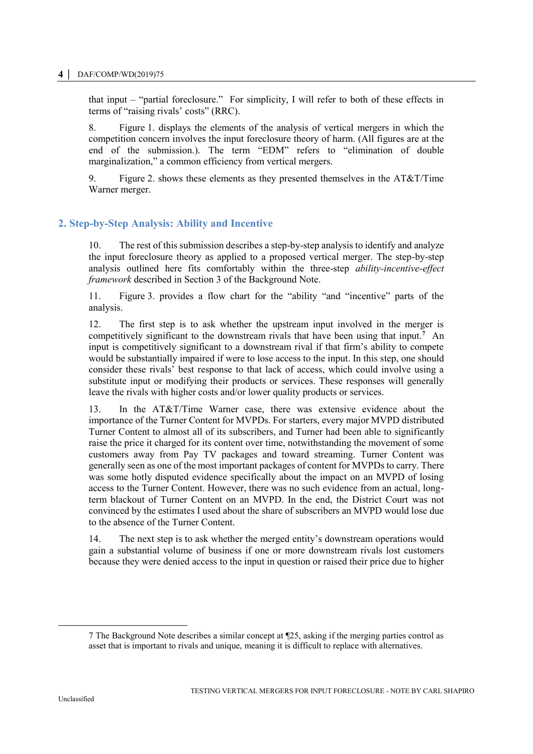#### **4 │** DAF/COMP/WD(2019)75

that input – "partial foreclosure." For simplicity, I will refer to both of these effects in terms of "raising rivals' costs" (RRC).

8. [Figure](#page-10-0) 1. displays the elements of the analysis of vertical mergers in which the competition concern involves the input foreclosure theory of harm. (All figures are at the end of the submission.). The term "EDM" refers to "elimination of double marginalization," a common efficiency from vertical mergers.

9. [Figure](#page-11-0) 2. shows these elements as they presented themselves in the AT&T/Time Warner merger.

### **2. Step-by-Step Analysis: Ability and Incentive**

10. The rest of this submission describes a step-by-step analysis to identify and analyze the input foreclosure theory as applied to a proposed vertical merger. The step-by-step analysis outlined here fits comfortably within the three-step *ability-incentive-effect framework* described in Section 3 of the Background Note.

11. [Figure](#page-11-1) 3. provides a flow chart for the "ability "and "incentive" parts of the analysis.

12. The first step is to ask whether the upstream input involved in the merger is competitively significant to the downstream rivals that have been using that input.**<sup>7</sup>** An input is competitively significant to a downstream rival if that firm's ability to compete would be substantially impaired if were to lose access to the input. In this step, one should consider these rivals' best response to that lack of access, which could involve using a substitute input or modifying their products or services. These responses will generally leave the rivals with higher costs and/or lower quality products or services.

13. In the AT&T/Time Warner case, there was extensive evidence about the importance of the Turner Content for MVPDs. For starters, every major MVPD distributed Turner Content to almost all of its subscribers, and Turner had been able to significantly raise the price it charged for its content over time, notwithstanding the movement of some customers away from Pay TV packages and toward streaming. Turner Content was generally seen as one of the most important packages of content for MVPDs to carry. There was some hotly disputed evidence specifically about the impact on an MVPD of losing access to the Turner Content. However, there was no such evidence from an actual, longterm blackout of Turner Content on an MVPD. In the end, the District Court was not convinced by the estimates I used about the share of subscribers an MVPD would lose due to the absence of the Turner Content.

14. The next step is to ask whether the merged entity's downstream operations would gain a substantial volume of business if one or more downstream rivals lost customers because they were denied access to the input in question or raised their price due to higher

<sup>7</sup> The Background Note describes a similar concept at ¶25, asking if the merging parties control as asset that is important to rivals and unique, meaning it is difficult to replace with alternatives.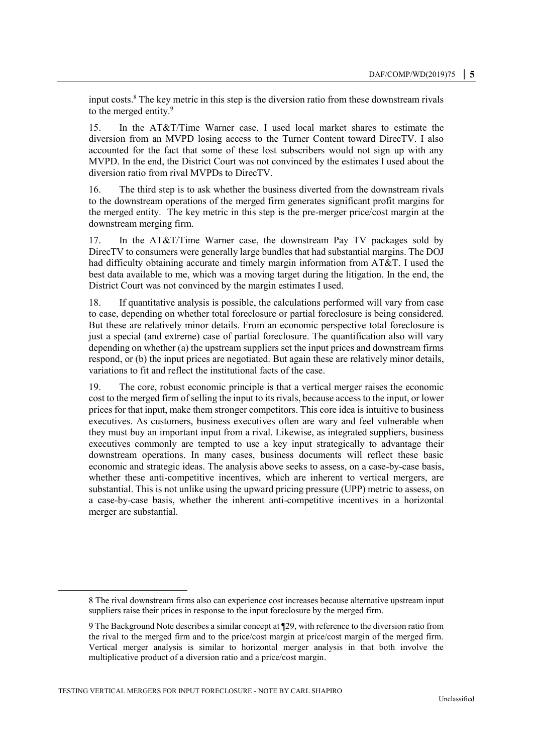input costs.<sup>8</sup> The key metric in this step is the diversion ratio from these downstream rivals to the merged entity.<sup>9</sup>

15. In the AT&T/Time Warner case, I used local market shares to estimate the diversion from an MVPD losing access to the Turner Content toward DirecTV. I also accounted for the fact that some of these lost subscribers would not sign up with any MVPD. In the end, the District Court was not convinced by the estimates I used about the diversion ratio from rival MVPDs to DirecTV.

16. The third step is to ask whether the business diverted from the downstream rivals to the downstream operations of the merged firm generates significant profit margins for the merged entity. The key metric in this step is the pre-merger price/cost margin at the downstream merging firm.

17. In the AT&T/Time Warner case, the downstream Pay TV packages sold by DirecTV to consumers were generally large bundles that had substantial margins. The DOJ had difficulty obtaining accurate and timely margin information from AT&T. I used the best data available to me, which was a moving target during the litigation. In the end, the District Court was not convinced by the margin estimates I used.

18. If quantitative analysis is possible, the calculations performed will vary from case to case, depending on whether total foreclosure or partial foreclosure is being considered. But these are relatively minor details. From an economic perspective total foreclosure is just a special (and extreme) case of partial foreclosure. The quantification also will vary depending on whether (a) the upstream suppliers set the input prices and downstream firms respond, or (b) the input prices are negotiated. But again these are relatively minor details, variations to fit and reflect the institutional facts of the case.

19. The core, robust economic principle is that a vertical merger raises the economic cost to the merged firm of selling the input to its rivals, because access to the input, or lower prices for that input, make them stronger competitors. This core idea is intuitive to business executives. As customers, business executives often are wary and feel vulnerable when they must buy an important input from a rival. Likewise, as integrated suppliers, business executives commonly are tempted to use a key input strategically to advantage their downstream operations. In many cases, business documents will reflect these basic economic and strategic ideas. The analysis above seeks to assess, on a case-by-case basis, whether these anti-competitive incentives, which are inherent to vertical mergers, are substantial. This is not unlike using the upward pricing pressure (UPP) metric to assess, on a case-by-case basis, whether the inherent anti-competitive incentives in a horizontal merger are substantial.

 $\overline{a}$ 

<sup>8</sup> The rival downstream firms also can experience cost increases because alternative upstream input suppliers raise their prices in response to the input foreclosure by the merged firm.

<sup>9</sup> The Background Note describes a similar concept at ¶29, with reference to the diversion ratio from the rival to the merged firm and to the price/cost margin at price/cost margin of the merged firm. Vertical merger analysis is similar to horizontal merger analysis in that both involve the multiplicative product of a diversion ratio and a price/cost margin.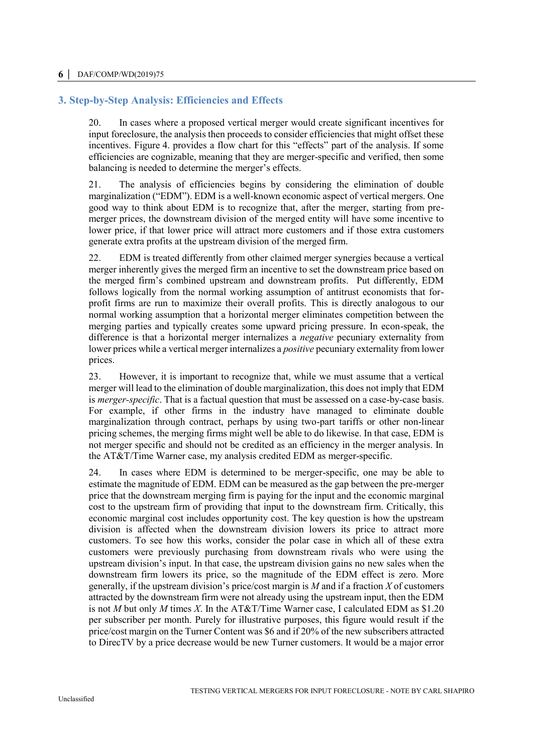### **3. Step-by-Step Analysis: Efficiencies and Effects**

20. In cases where a proposed vertical merger would create significant incentives for input foreclosure, the analysis then proceeds to consider efficiencies that might offset these incentives. [Figure](#page-12-0) 4. provides a flow chart for this "effects" part of the analysis. If some efficiencies are cognizable, meaning that they are merger-specific and verified, then some balancing is needed to determine the merger's effects.

21. The analysis of efficiencies begins by considering the elimination of double marginalization ("EDM"). EDM is a well-known economic aspect of vertical mergers. One good way to think about EDM is to recognize that, after the merger, starting from premerger prices, the downstream division of the merged entity will have some incentive to lower price, if that lower price will attract more customers and if those extra customers generate extra profits at the upstream division of the merged firm.

22. EDM is treated differently from other claimed merger synergies because a vertical merger inherently gives the merged firm an incentive to set the downstream price based on the merged firm's combined upstream and downstream profits. Put differently, EDM follows logically from the normal working assumption of antitrust economists that forprofit firms are run to maximize their overall profits. This is directly analogous to our normal working assumption that a horizontal merger eliminates competition between the merging parties and typically creates some upward pricing pressure. In econ-speak, the difference is that a horizontal merger internalizes a *negative* pecuniary externality from lower prices while a vertical merger internalizes a *positive* pecuniary externality from lower prices.

23. However, it is important to recognize that, while we must assume that a vertical merger will lead to the elimination of double marginalization, this does not imply that EDM is *merger-specific*. That is a factual question that must be assessed on a case-by-case basis. For example, if other firms in the industry have managed to eliminate double marginalization through contract, perhaps by using two-part tariffs or other non-linear pricing schemes, the merging firms might well be able to do likewise. In that case, EDM is not merger specific and should not be credited as an efficiency in the merger analysis. In the AT&T/Time Warner case, my analysis credited EDM as merger-specific.

24. In cases where EDM is determined to be merger-specific, one may be able to estimate the magnitude of EDM. EDM can be measured as the gap between the pre-merger price that the downstream merging firm is paying for the input and the economic marginal cost to the upstream firm of providing that input to the downstream firm. Critically, this economic marginal cost includes opportunity cost. The key question is how the upstream division is affected when the downstream division lowers its price to attract more customers. To see how this works, consider the polar case in which all of these extra customers were previously purchasing from downstream rivals who were using the upstream division's input. In that case, the upstream division gains no new sales when the downstream firm lowers its price, so the magnitude of the EDM effect is zero. More generally, if the upstream division's price/cost margin is *M* and if a fraction *X* of customers attracted by the downstream firm were not already using the upstream input, then the EDM is not *M* but only *M* times *X*. In the AT&T/Time Warner case, I calculated EDM as \$1.20 per subscriber per month. Purely for illustrative purposes, this figure would result if the price/cost margin on the Turner Content was \$6 and if 20% of the new subscribers attracted to DirecTV by a price decrease would be new Turner customers. It would be a major error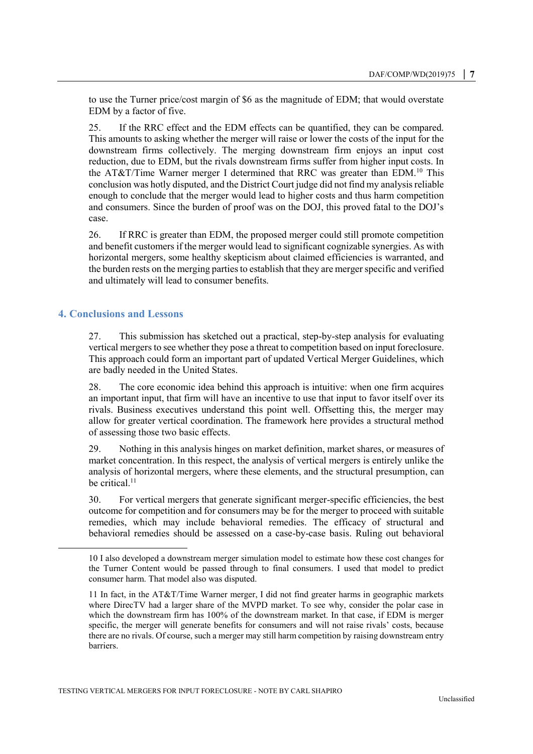to use the Turner price/cost margin of \$6 as the magnitude of EDM; that would overstate EDM by a factor of five.

25. If the RRC effect and the EDM effects can be quantified, they can be compared. This amounts to asking whether the merger will raise or lower the costs of the input for the downstream firms collectively. The merging downstream firm enjoys an input cost reduction, due to EDM, but the rivals downstream firms suffer from higher input costs. In the AT&T/Time Warner merger I determined that RRC was greater than  $EDM<sup>10</sup>$ . This conclusion was hotly disputed, and the District Court judge did not find my analysis reliable enough to conclude that the merger would lead to higher costs and thus harm competition and consumers. Since the burden of proof was on the DOJ, this proved fatal to the DOJ's case.

26. If RRC is greater than EDM, the proposed merger could still promote competition and benefit customers if the merger would lead to significant cognizable synergies. As with horizontal mergers, some healthy skepticism about claimed efficiencies is warranted, and the burden rests on the merging parties to establish that they are merger specific and verified and ultimately will lead to consumer benefits.

#### **4. Conclusions and Lessons**

 $\overline{a}$ 

27. This submission has sketched out a practical, step-by-step analysis for evaluating vertical mergers to see whether they pose a threat to competition based on input foreclosure. This approach could form an important part of updated Vertical Merger Guidelines, which are badly needed in the United States.

28. The core economic idea behind this approach is intuitive: when one firm acquires an important input, that firm will have an incentive to use that input to favor itself over its rivals. Business executives understand this point well. Offsetting this, the merger may allow for greater vertical coordination. The framework here provides a structural method of assessing those two basic effects.

29. Nothing in this analysis hinges on market definition, market shares, or measures of market concentration. In this respect, the analysis of vertical mergers is entirely unlike the analysis of horizontal mergers, where these elements, and the structural presumption, can be critical.<sup>11</sup>

30. For vertical mergers that generate significant merger-specific efficiencies, the best outcome for competition and for consumers may be for the merger to proceed with suitable remedies, which may include behavioral remedies. The efficacy of structural and behavioral remedies should be assessed on a case-by-case basis. Ruling out behavioral

<sup>10</sup> I also developed a downstream merger simulation model to estimate how these cost changes for the Turner Content would be passed through to final consumers. I used that model to predict consumer harm. That model also was disputed.

<sup>11</sup> In fact, in the AT&T/Time Warner merger, I did not find greater harms in geographic markets where DirecTV had a larger share of the MVPD market. To see why, consider the polar case in which the downstream firm has 100% of the downstream market. In that case, if EDM is merger specific, the merger will generate benefits for consumers and will not raise rivals' costs, because there are no rivals. Of course, such a merger may still harm competition by raising downstream entry barriers.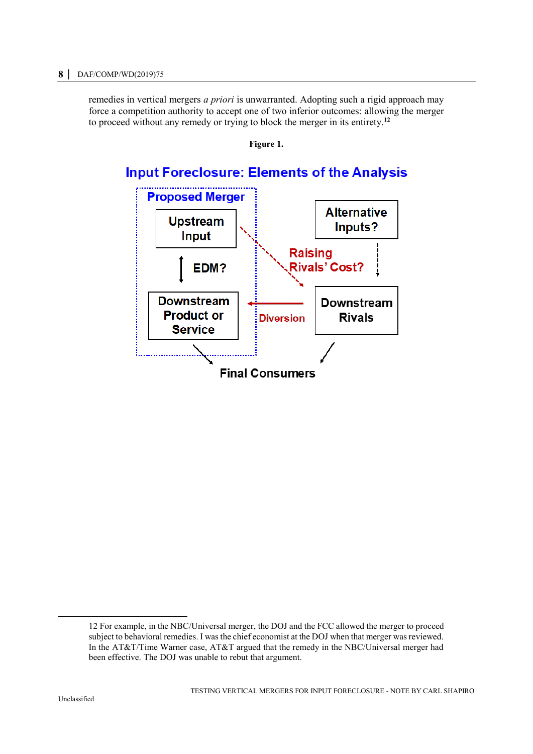<span id="page-10-0"></span>remedies in vertical mergers *a priori* is unwarranted. Adopting such a rigid approach may force a competition authority to accept one of two inferior outcomes: allowing the merger to proceed without any remedy or trying to block the merger in its entirety.**<sup>12</sup>**



### **Input Foreclosure: Elements of the Analysis**



 $\overline{a}$ 

<sup>12</sup> For example, in the NBC/Universal merger, the DOJ and the FCC allowed the merger to proceed subject to behavioral remedies. I was the chief economist at the DOJ when that merger was reviewed. In the AT&T/Time Warner case, AT&T argued that the remedy in the NBC/Universal merger had been effective. The DOJ was unable to rebut that argument.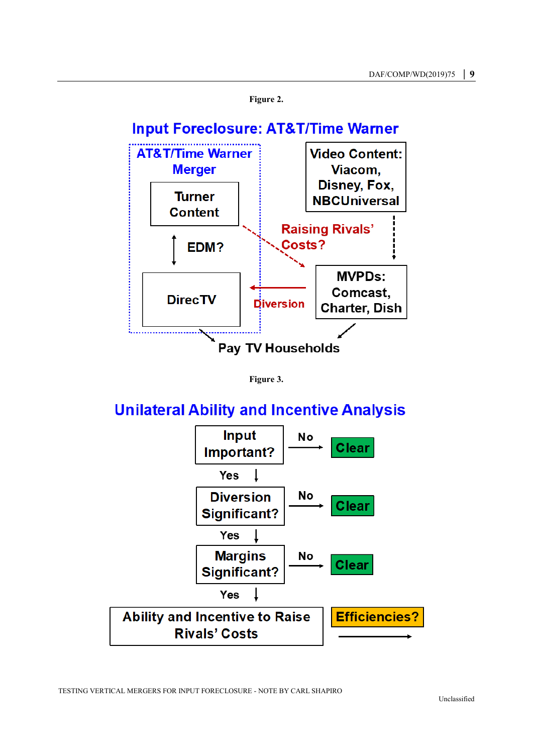<span id="page-11-0"></span>



# <span id="page-11-1"></span>**Unilateral Ability and Incentive Analysis**